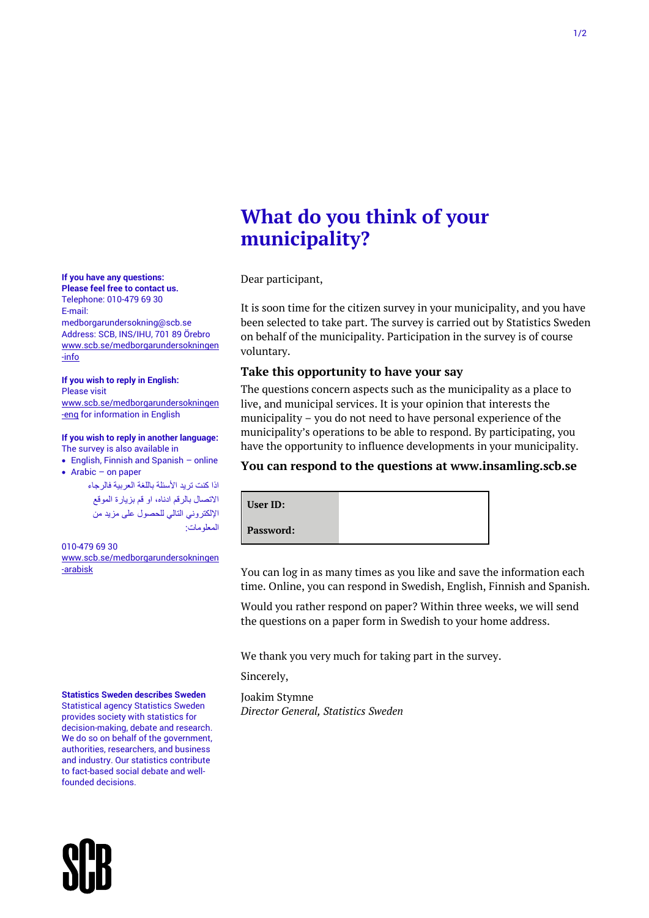# **What do you think of your municipality?**

Dear participant,

It is soon time for the citizen survey in your municipality, and you have been selected to take part. The survey is carried out by Statistics Sweden on behalf of the municipality. Participation in the survey is of course voluntary.

# **Take this opportunity to have your say**

The questions concern aspects such as the municipality as a place to live, and municipal services. It is your opinion that interests the municipality – you do not need to have personal experience of the municipality's operations to be able to respond. By participating, you have the opportunity to influence developments in your municipality.

# **You can respond to the questions at www.insamling.scb.se**

| User ID:  |  |
|-----------|--|
| Password: |  |

You can log in as many times as you like and save the information each time. Online, you can respond in Swedish, English, Finnish and Spanish.

Would you rather respond on paper? Within three weeks, we will send the questions on a paper form in Swedish to your home address.

We thank you very much for taking part in the survey.

Sincerely,

Joakim Stymne *Director General, Statistics Sweden*



Telephone: 010-479 69 30 E-mail:

medborgarundersokning@scb.se Address: SCB, INS/IHU, 701 89 Örebro [www.scb.se/medborgarundersokningen](file://///scb.intra/data/Prod/BV/NKI/Medborgarundersökningar/Medborgarundersökning%202019/Enkät/Missiv/Översättningar/www.scb.se/medborgarundersokningen-info) [-info](file://///scb.intra/data/Prod/BV/NKI/Medborgarundersökningar/Medborgarundersökning%202019/Enkät/Missiv/Översättningar/www.scb.se/medborgarundersokningen-info)

#### **If you wish to reply in English:** Please visit

[www.scb.se/medborgarundersokningen](http://www.scb.se/medborgarundersokningen-eng) [-eng](http://www.scb.se/medborgarundersokningen-eng) for information in English

#### **If you wish to reply in another language:** The survey is also available in

• English, Finnish and Spanish – online

• Arabic – on paper

اذا كنت تريد األسئلة باللغة العربية فالرجاء االتصال بالرقم ادناه، او قم بزيارة الموقع اإللكتروني التالي للحصول على مزيد من المعلومات:

#### 010-479 69 30 [www.scb.se/medborgarundersokningen](file://///scb.intra/data/Prod/BV/NKI/Medborgarundersökningar/Medborgarundersökning%202019/Enkät/Missiv/Översättningar/www.scb.se/medborgarundersokningen-arabisk) [-arabisk](file://///scb.intra/data/Prod/BV/NKI/Medborgarundersökningar/Medborgarundersökning%202019/Enkät/Missiv/Översättningar/www.scb.se/medborgarundersokningen-arabisk)

**Statistics Sweden describes Sweden**

Statistical agency Statistics Sweden provides society with statistics for decision-making, debate and research. We do so on behalf of the government. authorities, researchers, and business and industry. Our statistics contribute to fact-based social debate and wellfounded decisions.